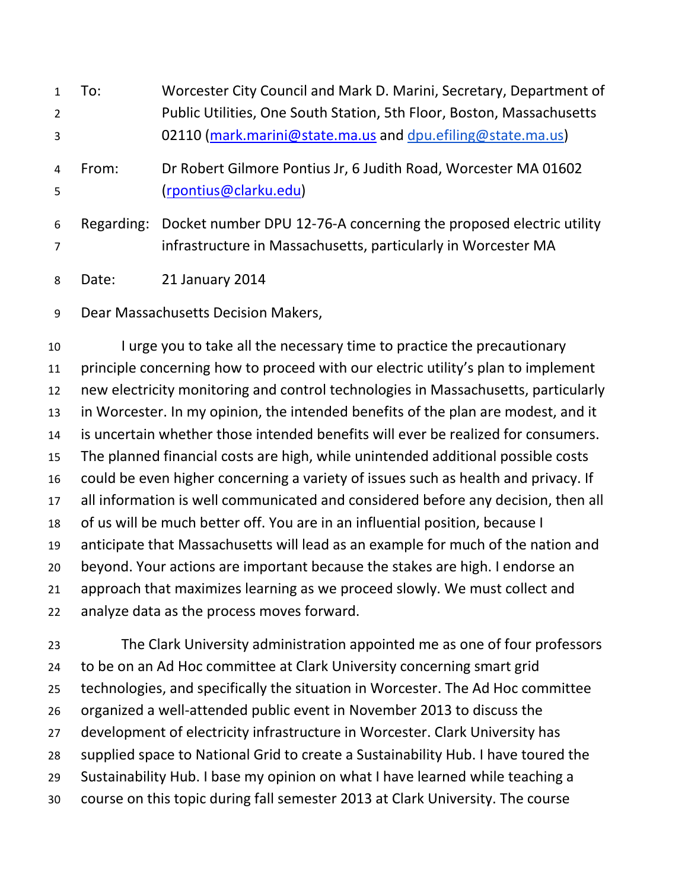| $\mathbf{1}$   | To:        | Worcester City Council and Mark D. Marini, Secretary, Department of   |
|----------------|------------|-----------------------------------------------------------------------|
| $\overline{2}$ |            | Public Utilities, One South Station, 5th Floor, Boston, Massachusetts |
| 3              |            | 02110 (mark.marini@state.ma.us and dpu.efiling@state.ma.us)           |
| $\overline{4}$ | From:      | Dr Robert Gilmore Pontius Jr, 6 Judith Road, Worcester MA 01602       |
| 5              |            | (rpontius@clarku.edu)                                                 |
| 6              | Regarding: | Docket number DPU 12-76-A concerning the proposed electric utility    |
| $\overline{7}$ |            | infrastructure in Massachusetts, particularly in Worcester MA         |

Date: 21 January 2014

Dear Massachusetts Decision Makers,

I urge you to take all the necessary time to practice the precautionary principle concerning how to proceed with our electric utility's plan to implement new electricity monitoring and control technologies in Massachusetts, particularly in Worcester. In my opinion, the intended benefits of the plan are modest, and it is uncertain whether those intended benefits will ever be realized for consumers. The planned financial costs are high, while unintended additional possible costs could be even higher concerning a variety of issues such as health and privacy. If all information is well communicated and considered before any decision, then all of us will be much better off. You are in an influential position, because I anticipate that Massachusetts will lead as an example for much of the nation and beyond. Your actions are important because the stakes are high. I endorse an approach that maximizes learning as we proceed slowly. We must collect and analyze data as the process moves forward.

The Clark University administration appointed me as one of four professors to be on an Ad Hoc committee at Clark University concerning smart grid technologies, and specifically the situation in Worcester. The Ad Hoc committee organized a well-attended public event in November 2013 to discuss the development of electricity infrastructure in Worcester. Clark University has supplied space to National Grid to create a Sustainability Hub. I have toured the Sustainability Hub. I base my opinion on what I have learned while teaching a course on this topic during fall semester 2013 at Clark University. The course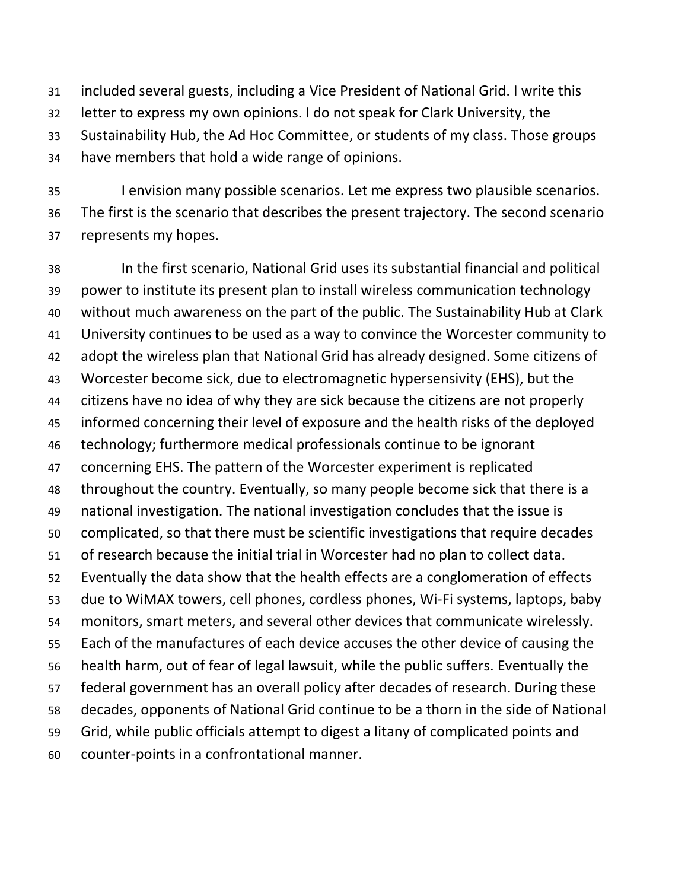included several guests, including a Vice President of National Grid. I write this letter to express my own opinions. I do not speak for Clark University, the Sustainability Hub, the Ad Hoc Committee, or students of my class. Those groups have members that hold a wide range of opinions.

I envision many possible scenarios. Let me express two plausible scenarios. The first is the scenario that describes the present trajectory. The second scenario represents my hopes.

In the first scenario, National Grid uses its substantial financial and political power to institute its present plan to install wireless communication technology without much awareness on the part of the public. The Sustainability Hub at Clark University continues to be used as a way to convince the Worcester community to adopt the wireless plan that National Grid has already designed. Some citizens of Worcester become sick, due to electromagnetic hypersensivity (EHS), but the citizens have no idea of why they are sick because the citizens are not properly informed concerning their level of exposure and the health risks of the deployed technology; furthermore medical professionals continue to be ignorant concerning EHS. The pattern of the Worcester experiment is replicated throughout the country. Eventually, so many people become sick that there is a national investigation. The national investigation concludes that the issue is complicated, so that there must be scientific investigations that require decades of research because the initial trial in Worcester had no plan to collect data. Eventually the data show that the health effects are a conglomeration of effects due to WiMAX towers, cell phones, cordless phones, Wi-Fi systems, laptops, baby monitors, smart meters, and several other devices that communicate wirelessly. Each of the manufactures of each device accuses the other device of causing the health harm, out of fear of legal lawsuit, while the public suffers. Eventually the federal government has an overall policy after decades of research. During these decades, opponents of National Grid continue to be a thorn in the side of National Grid, while public officials attempt to digest a litany of complicated points and counter-points in a confrontational manner.